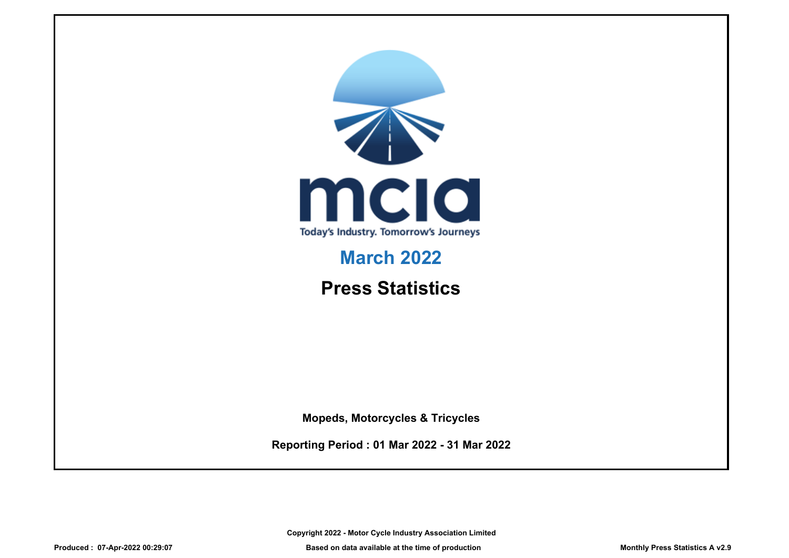

# **March 2022**

# **Press Statistics**

**Mopeds, Motorcycles & Tricycles**

**Reporting Period : 01 Mar 2022 - 31 Mar 2022**

**Copyright 2022 - Motor Cycle Industry Association Limited**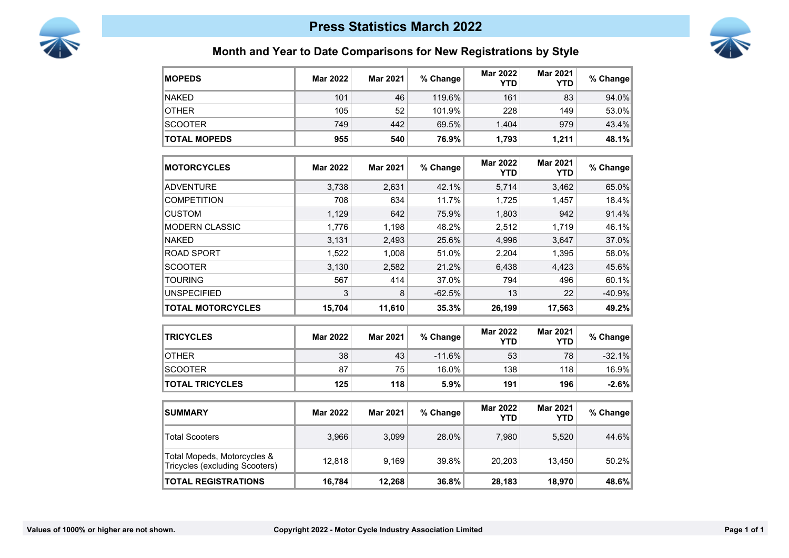



# **Month and Year to Date Comparisons for New Registrations by Style**

| <b>MOPEDS</b>                                                 | <b>Mar 2022</b> | <b>Mar 2021</b> | % Change | <b>Mar 2022</b><br>YTD        | <b>Mar 2021</b><br><b>YTD</b> | % Change |
|---------------------------------------------------------------|-----------------|-----------------|----------|-------------------------------|-------------------------------|----------|
| <b>NAKED</b>                                                  | 101             | 46              | 119.6%   | 161                           | 83                            | 94.0%    |
| OTHER                                                         | 105             | 52              | 101.9%   | 228                           | 149                           | 53.0%    |
| <b>SCOOTER</b>                                                | 749             | 442             | 69.5%    | 1,404                         | 979                           | 43.4%    |
| <b>TOTAL MOPEDS</b>                                           | 955             | 540             | 76.9%    | 1,793                         | 1,211                         | 48.1%    |
| <b>MOTORCYCLES</b>                                            | <b>Mar 2022</b> | <b>Mar 2021</b> | % Change | <b>Mar 2022</b><br><b>YTD</b> | <b>Mar 2021</b><br><b>YTD</b> | % Change |
| <b>ADVENTURE</b>                                              | 3,738           | 2,631           | 42.1%    | 5,714                         | 3,462                         | 65.0%    |
| COMPETITION                                                   | 708             | 634             | 11.7%    | 1,725                         | 1,457                         | 18.4%    |
| <b>CUSTOM</b>                                                 | 1,129           | 642             | 75.9%    | 1,803                         | 942                           | 91.4%    |
| MODERN CLASSIC                                                | 1,776           | 1,198           | 48.2%    | 2,512                         | 1,719                         | 46.1%    |
| <b>NAKED</b>                                                  | 3,131           | 2,493           | 25.6%    | 4,996                         | 3,647                         | 37.0%    |
| ROAD SPORT                                                    | 1,522           | 1,008           | 51.0%    | 2,204                         | 1,395                         | 58.0%    |
| <b>SCOOTER</b>                                                | 3,130           | 2,582           | 21.2%    | 6,438                         | 4,423                         | 45.6%    |
| <b>TOURING</b>                                                | 567             | 414             | 37.0%    | 794                           | 496                           | 60.1%    |
| <b>UNSPECIFIED</b>                                            | 3               | 8               | $-62.5%$ | 13                            | 22                            | -40.9%   |
| <b>TOTAL MOTORCYCLES</b>                                      | 15,704          | 11,610          | 35.3%    | 26,199                        | 17,563                        | 49.2%    |
| <b>TRICYCLES</b>                                              | <b>Mar 2022</b> | <b>Mar 2021</b> | % Change | <b>Mar 2022</b><br><b>YTD</b> | <b>Mar 2021</b><br><b>YTD</b> | % Change |
| <b>OTHER</b>                                                  | 38              | 43              | $-11.6%$ | 53                            | 78                            | $-32.1%$ |
| <b>SCOOTER</b>                                                | 87              | 75              | 16.0%    | 138                           | 118                           | 16.9%    |
| <b>TOTAL TRICYCLES</b>                                        | 125             | 118             | 5.9%     | 191                           | 196                           | $-2.6%$  |
| <b>SUMMARY</b>                                                | <b>Mar 2022</b> | <b>Mar 2021</b> | % Change | <b>Mar 2022</b><br><b>YTD</b> | <b>Mar 2021</b><br><b>YTD</b> | % Change |
| <b>Total Scooters</b>                                         | 3,966           | 3,099           | 28.0%    | 7,980                         | 5,520                         | 44.6%    |
| Total Mopeds, Motorcycles &<br>Tricycles (excluding Scooters) | 12,818          | 9,169           | 39.8%    | 20,203                        | 13,450                        | 50.2%    |
| <b>TOTAL REGISTRATIONS</b>                                    | 16,784          | 12,268          | 36.8%    | 28,183                        | 18,970                        | 48.6%    |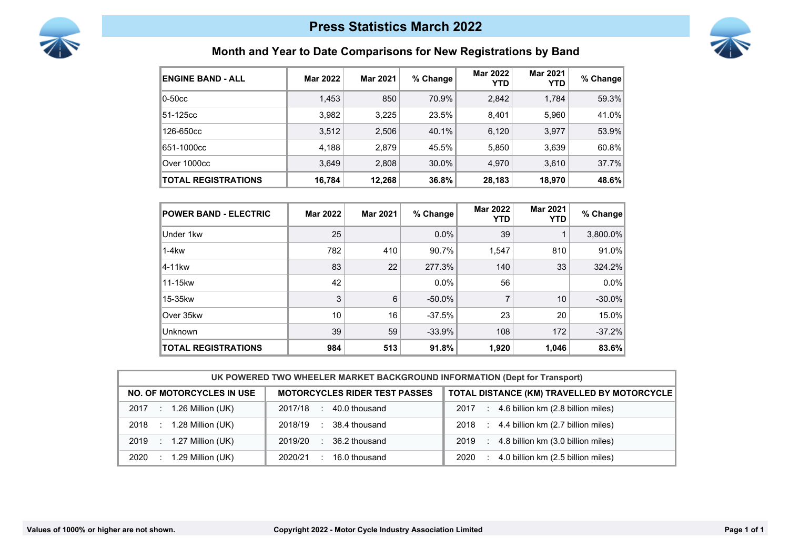



## **Month and Year to Date Comparisons for New Registrations by Band**

| <b>ENGINE BAND - ALL</b>   | <b>Mar 2022</b> | <b>Mar 2021</b> | % Change | <b>Mar 2022</b><br><b>YTD</b> | <b>Mar 2021</b><br><b>YTD</b> | % Change |
|----------------------------|-----------------|-----------------|----------|-------------------------------|-------------------------------|----------|
| $0-50cc$                   | 1,453           | 850             | 70.9%    | 2,842                         | 1,784                         | 59.3%    |
| 51-125cc                   | 3,982           | 3,225           | 23.5%    | 8,401                         | 5,960                         | 41.0%    |
| 126-650cc                  | 3,512           | 2,506           | 40.1%    | 6,120                         | 3,977                         | 53.9%    |
| 651-1000ccl                | 4,188           | 2,879           | 45.5%    | 5,850                         | 3,639                         | 60.8%    |
| Over 1000cc                | 3.649           | 2,808           | 30.0%    | 4,970                         | 3,610                         | 37.7%    |
| <b>TOTAL REGISTRATIONS</b> | 16,784          | 12,268          | 36.8%    | 28,183                        | 18,970                        | 48.6%    |

| <b>POWER BAND - ELECTRIC</b> | <b>Mar 2022</b> | <b>Mar 2021</b> | % Change  | <b>Mar 2022</b><br>YTD | <b>Mar 2021</b><br><b>YTD</b> | % Change |
|------------------------------|-----------------|-----------------|-----------|------------------------|-------------------------------|----------|
| Under 1kw                    | 25              |                 | $0.0\%$   | 39                     |                               | 3,800.0% |
| $1-4kw$                      | 782             | 410             | 90.7%     | 1,547                  | 810                           | 91.0%    |
| 4-11kw                       | 83              | 22              | 277.3%    | 140                    | 33                            | 324.2%   |
| 11-15kw                      | 42              |                 | $0.0\%$   | 56                     |                               | $0.0\%$  |
| 15-35kw                      | 3               | 6               | $-50.0\%$ | 7                      | 10                            | $-30.0%$ |
| Over 35kw                    | 10              | 16              | $-37.5%$  | 23                     | 20                            | 15.0%    |
| Unknown                      | 39              | 59              | $-33.9%$  | 108                    | 172                           | $-37.2%$ |
| <b>TOTAL REGISTRATIONS</b>   | 984             | 513             | 91.8%     | 1,920                  | 1,046                         | 83.6%    |

| UK POWERED TWO WHEELER MARKET BACKGROUND INFORMATION (Dept for Transport) |                                      |                                                 |  |  |
|---------------------------------------------------------------------------|--------------------------------------|-------------------------------------------------|--|--|
| <b>NO. OF MOTORCYCLES IN USE</b>                                          | <b>MOTORCYCLES RIDER TEST PASSES</b> | TOTAL DISTANCE (KM) TRAVELLED BY MOTORCYCLE     |  |  |
| 1.26 Million (UK)<br>2017                                                 | 40.0 thousand<br>2017/18<br>$\sim$   | 4.6 billion km (2.8 billion miles)<br>2017<br>÷ |  |  |
| 1.28 Million (UK)                                                         | 38.4 thousand                        | 4.4 billion km (2.7 billion miles)              |  |  |
| 2018                                                                      | 2018/19                              | 2018                                            |  |  |
| 1.27 Million (UK)                                                         | 2019/20                              | 4.8 billion km (3.0 billion miles)              |  |  |
| 2019                                                                      | 36.2 thousand                        | 2019                                            |  |  |
| 1.29 Million (UK)                                                         | 2020/21                              | 4.0 billion km (2.5 billion miles)              |  |  |
| 2020                                                                      | 16.0 thousand                        | 2020                                            |  |  |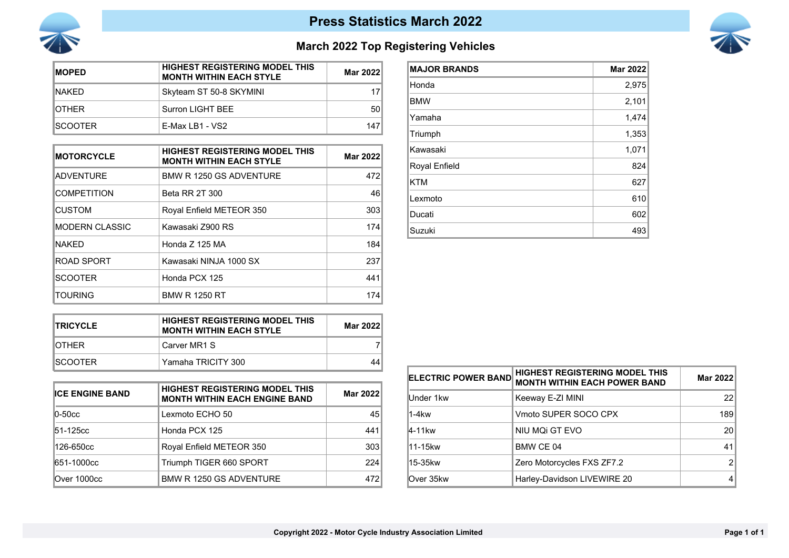

## **Press Statistics March 2022**



## **March 2022 Top Registering Vehicles**

| <b>IMOPED</b>   | <b>HIGHEST REGISTERING MODEL THIS</b><br><b>MONTH WITHIN EACH STYLE</b> | Mar 2022 |
|-----------------|-------------------------------------------------------------------------|----------|
| <b>INAKED</b>   | Skyteam ST 50-8 SKYMINI                                                 | 17       |
| <b>IOTHER</b>   | Surron LIGHT BEE                                                        | 50       |
| <b>ISCOOTFR</b> | $F$ -Max I B1 - VS2                                                     | 147      |

| <b>MOTORCYCLE</b>  | <b>HIGHEST REGISTERING MODEL THIS</b><br><b>MONTH WITHIN EACH STYLE</b> | Mar 2022 |
|--------------------|-------------------------------------------------------------------------|----------|
| <b>ADVENTURE</b>   | BMW R 1250 GS ADVENTURE                                                 | 472      |
| <b>COMPETITION</b> | <b>Beta RR 2T 300</b>                                                   | 46       |
| <b>CUSTOM</b>      | Royal Enfield METEOR 350                                                | 303      |
| IMODERN CLASSIC    | Kawasaki Z900 RS                                                        | 174      |
| <b>NAKFD</b>       | Honda Z 125 MA                                                          | 184      |
| <b>ROAD SPORT</b>  | Kawasaki NINJA 1000 SX                                                  | 237      |
| <b>SCOOTER</b>     | Honda PCX 125                                                           | 441      |
| TOURING            | <b>BMW R 1250 RT</b>                                                    | 174      |

| <b>MAJOR BRANDS</b> | <b>Mar 2022</b> |
|---------------------|-----------------|
| Honda               | 2,975           |
| <b>BMW</b>          | 2,101           |
| Yamaha              | 1,474           |
| Triumph             | 1,353           |
| Kawasaki            | 1,071           |
| Royal Enfield       | 824             |
| <b>KTM</b>          | 627             |
| Lexmoto             | 610             |
| Ducati              | 602             |
| Suzuki              | 493             |

| <b>ITRICYCLE</b> | <b>HIGHEST REGISTERING MODEL THIS</b><br><b>MONTH WITHIN EACH STYLE</b> | Mar 2022 |
|------------------|-------------------------------------------------------------------------|----------|
| IOTHFR           | Carver MR1 S                                                            |          |
| ISCOOTFR.        | Yamaha TRICITY 300                                                      | 44       |

| <b>ICE ENGINE BAND</b> | HIGHEST REGISTERING MODEL THIS<br><b>MONTH WITHIN EACH ENGINE BAND</b> | Mar 2022        |
|------------------------|------------------------------------------------------------------------|-----------------|
| $ 0 - 50$ cc           | Lexmoto ECHO 50                                                        | 45 <sup>1</sup> |
| 51-125cc               | Honda PCX 125                                                          | 441             |
| 126-650cc              | Royal Enfield METEOR 350                                               | 303             |
| 651-1000cc             | Triumph TIGER 660 SPORT                                                | 224             |
| Over 1000cc            | <b>BMW R 1250 GS ADVENTURE</b>                                         | 472             |

| <b>ELECTRIC POWER BAND</b> | <b>HIGHEST REGISTERING MODEL THIS</b><br><b>MONTH WITHIN EACH POWER BAND</b> | Mar 2022 |
|----------------------------|------------------------------------------------------------------------------|----------|
| Under 1kw                  | Keeway E-ZI MINI                                                             | 22       |
| 1-4kw                      | Vmoto SUPER SOCO CPX                                                         | 189      |
| 4-11kw                     | NIU MQI GT EVO                                                               | 20       |
| l11-15kw                   | BMW CE 04                                                                    | 41       |
| 15-35kw                    | Zero Motorcycles FXS ZF7.2                                                   | 2        |
| Over 35kw                  | Harley-Davidson LIVEWIRE 20                                                  |          |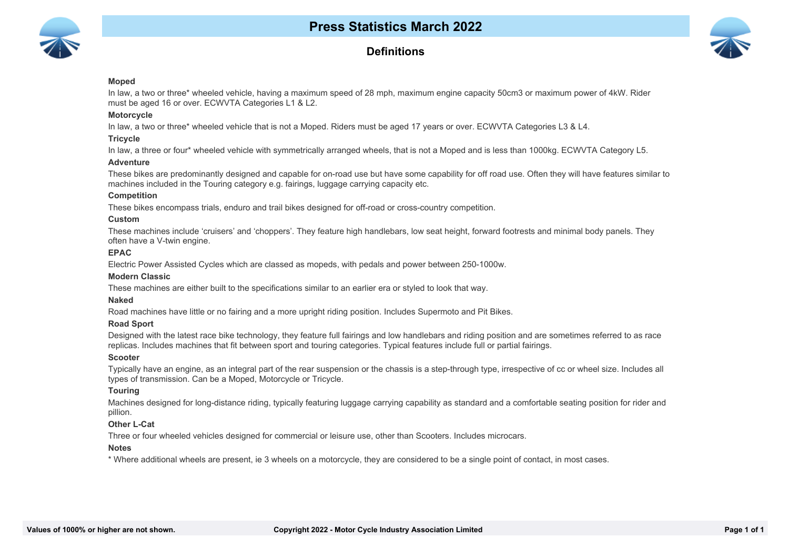

### **Definitions**



#### **Moped**

In law, a two or three\* wheeled vehicle, having a maximum speed of 28 mph, maximum engine capacity 50cm3 or maximum power of 4kW. Rider must be aged 16 or over. ECWVTA Categories L1 & L2.

#### **Motorcycle**

In law, a two or three\* wheeled vehicle that is not a Moped. Riders must be aged 17 years or over. ECWVTA Categories L3 & L4.

#### **Tricycle**

In law, a three or four\* wheeled vehicle with symmetrically arranged wheels, that is not a Moped and is less than 1000kg. ECWVTA Category L5.

#### **Adventure**

These bikes are predominantly designed and capable for on-road use but have some capability for off road use. Often they will have features similar to machines included in the Touring category e.g. fairings, luggage carrying capacity etc.

#### **Competition**

These bikes encompass trials, enduro and trail bikes designed for off-road or cross-country competition.

#### **Custom**

These machines include 'cruisers' and 'choppers'. They feature high handlebars, low seat height, forward footrests and minimal body panels. They often have a V-twin engine.

#### **EPAC**

Electric Power Assisted Cycles which are classed as mopeds, with pedals and power between 250-1000w.

#### **Modern Classic**

These machines are either built to the specifications similar to an earlier era or styled to look that way.

#### **Naked**

Road machines have little or no fairing and a more upright riding position. Includes Supermoto and Pit Bikes.

#### **10 Road Sport**

Designed with the latest race bike technology, they feature full fairings and low handlebars and riding position and are sometimes referred to as race replicas. Includes machines that fit between sport and touring categories. Typical features include full or partial fairings.

#### **11 Scooter**

Typically have an engine, as an integral part of the rear suspension or the chassis is a step-through type, irrespective of cc or wheel size. Includes all types of transmission. Can be a Moped, Motorcycle or Tricycle.

#### **12 Touring**

Machines designed for long-distance riding, typically featuring luggage carrying capability as standard and a comfortable seating position for rider and pillion.

#### **13 Other L-Cat**

Three or four wheeled vehicles designed for commercial or leisure use, other than Scooters. Includes microcars.

#### **14 Notes**

\* Where additional wheels are present, ie 3 wheels on a motorcycle, they are considered to be a single point of contact, in most cases.